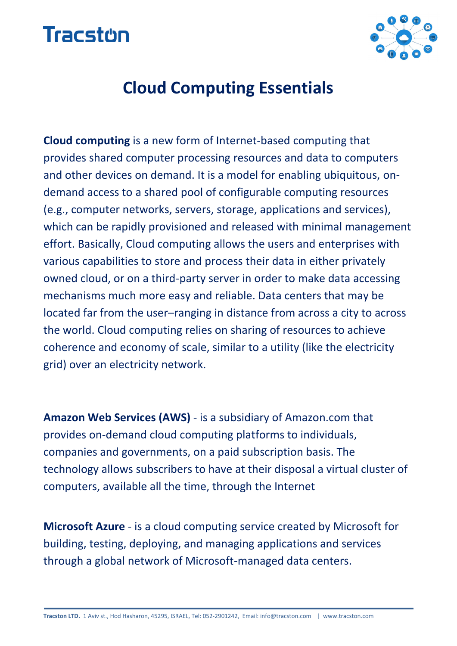



## **Cloud Computing Essentials**

**Cloud computing** is a new form of Internet-based computing that provides shared computer processing resources and data to computers and other devices on demand. It is a model for enabling ubiquitous, ondemand access to a shared pool of configurable computing resources (e.g., computer networks, servers, storage, applications and services), which can be rapidly provisioned and released with minimal management effort. Basically, Cloud computing allows the users and enterprises with various capabilities to store and process their data in either privately owned cloud, or on a third-party server in order to make data accessing mechanisms much more easy and reliable. Data centers that may be located far from the user–ranging in distance from across a city to across the world. Cloud computing relies on sharing of resources to achieve coherence and economy of scale, similar to a utility (like the electricity grid) over an electricity network.

**Amazon Web Services (AWS)** - is a subsidiary of Amazon.com that provides on-demand cloud computing platforms to individuals, companies and governments, on a paid subscription basis. The technology allows subscribers to have at their disposal a virtual cluster of computers, available all the time, through the Internet

**Microsoft Azure** - is a cloud computing service created by Microsoft for building, testing, deploying, and managing applications and services through a global network of Microsoft-managed data centers.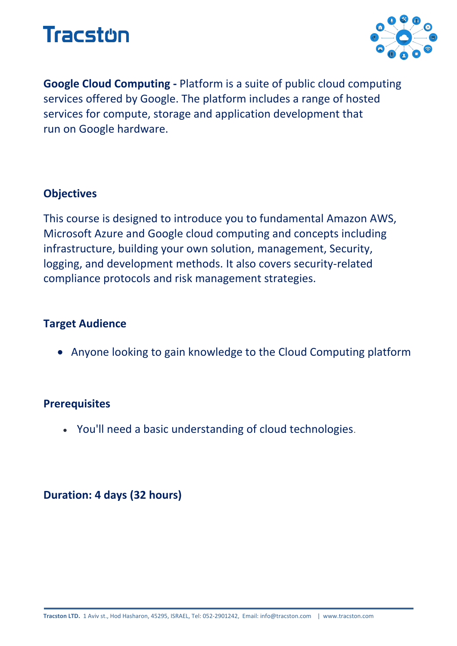



**Google Cloud Computing -** Platform is a suite of public cloud computing services offered by Google. The platform includes a range of hosted services for compute, storage and application development that run on Google hardware.

#### **Objectives**

This course is designed to introduce you to fundamental Amazon AWS, Microsoft Azure and Google cloud computing and concepts including infrastructure, building your own solution, management, Security, logging, and development methods. It also covers security-related compliance protocols and risk management strategies.

#### **Target Audience**

• Anyone looking to gain knowledge to the Cloud Computing platform

#### **Prerequisites**

• You'll need a basic understanding of cloud technologies.

#### **Duration: 4 days (32 hours)**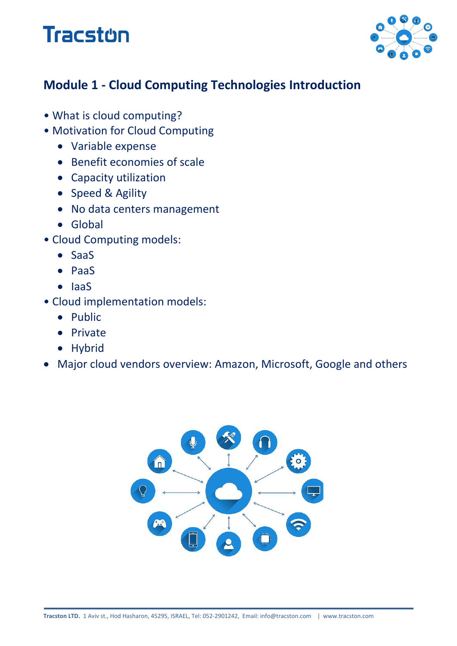# **Tracston**



### **Module 1 - Cloud Computing Technologies Introduction**

- What is cloud computing?
- Motivation for Cloud Computing
	- Variable expense
	- Benefit economies of scale
	- Capacity utilization
	- Speed & Agility
	- No data centers management
	- Global
- Cloud Computing models:
	- SaaS
	- PaaS
	- IaaS
- Cloud implementation models:
	- Public
	- Private
	- Hybrid
- Major cloud vendors overview: Amazon, Microsoft, Google and others

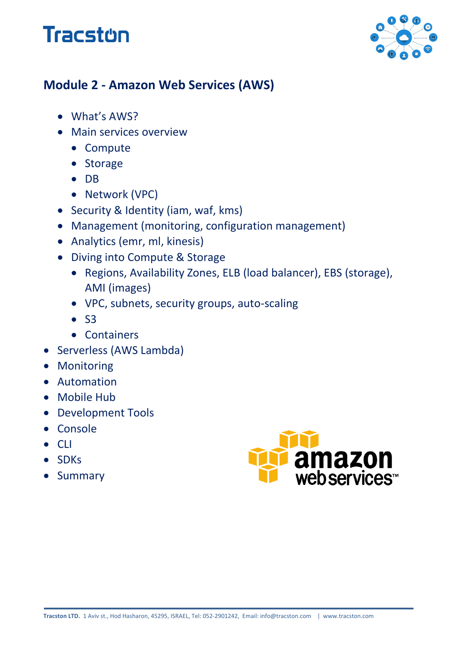## **Tracston**



### **Module 2 - Amazon Web Services (AWS)**

- What's AWS?
- Main services overview
	- Compute
	- Storage
	- DB
	- Network (VPC)
- Security & Identity (iam, waf, kms)
- Management (monitoring, configuration management)
- Analytics (emr, ml, kinesis)
- Diving into Compute & Storage
	- Regions, Availability Zones, ELB (load balancer), EBS (storage), AMI (images)
	- VPC, subnets, security groups, auto-scaling
	- S3
	- Containers
- Serverless (AWS Lambda)
- Monitoring
- Automation
- Mobile Hub
- Development Tools
- Console
- CLI
- SDKs
- Summary

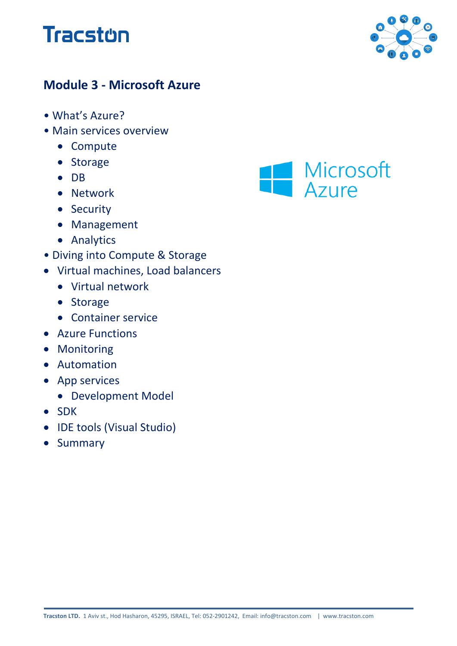



### **Module 3 - Microsoft Azure**

- What's Azure?
- Main services overview
	- Compute
	- Storage
	- DB
	- Network
	- Security
	- Management
	- Analytics
- Diving into Compute & Storage
- Virtual machines, Load balancers
	- Virtual network
	- Storage
	- Container service
- Azure Functions
- Monitoring
- Automation
- App services
	- Development Model
- SDK
- IDE tools (Visual Studio)
- Summary